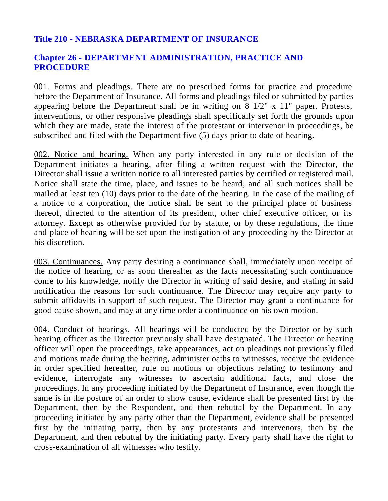## **Title 210 - NEBRASKA DEPARTMENT OF INSURANCE**

## **Chapter 26 - DEPARTMENT ADMINISTRATION, PRACTICE AND PROCEDURE**

001. Forms and pleadings. There are no prescribed forms for practice and procedure before the Department of Insurance. All forms and pleadings filed or submitted by parties appearing before the Department shall be in writing on 8 1/2" x 11" paper. Protests, interventions, or other responsive pleadings shall specifically set forth the grounds upon which they are made, state the interest of the protestant or intervenor in proceedings, be subscribed and filed with the Department five (5) days prior to date of hearing.

002. Notice and hearing. When any party interested in any rule or decision of the Department initiates a hearing, after filing a written request with the Director, the Director shall issue a written notice to all interested parties by certified or registered mail. Notice shall state the time, place, and issues to be heard, and all such notices shall be mailed at least ten (10) days prior to the date of the hearing. In the case of the mailing of a notice to a corporation, the notice shall be sent to the principal place of business thereof, directed to the attention of its president, other chief executive officer, or its attorney. Except as otherwise provided for by statute, or by these regulations, the time and place of hearing will be set upon the instigation of any proceeding by the Director at his discretion.

003. Continuances. Any party desiring a continuance shall, immediately upon receipt of the notice of hearing, or as soon thereafter as the facts necessitating such continuance come to his knowledge, notify the Director in writing of said desire, and stating in said notification the reasons for such continuance. The Director may require any party to submit affidavits in support of such request. The Director may grant a continuance for good cause shown, and may at any time order a continuance on his own motion.

004. Conduct of hearings. All hearings will be conducted by the Director or by such hearing officer as the Director previously shall have designated. The Director or hearing officer will open the proceedings, take appearances, act on pleadings not previously filed and motions made during the hearing, administer oaths to witnesses, receive the evidence in order specified hereafter, rule on motions or objections relating to testimony and evidence, interrogate any witnesses to ascertain additional facts, and close the proceedings. In any proceeding initiated by the Department of Insurance, even though the same is in the posture of an order to show cause, evidence shall be presented first by the Department, then by the Respondent, and then rebuttal by the Department. In any proceeding initiated by any party other than the Department, evidence shall be presented first by the initiating party, then by any protestants and intervenors, then by the Department, and then rebuttal by the initiating party. Every party shall have the right to cross-examination of all witnesses who testify.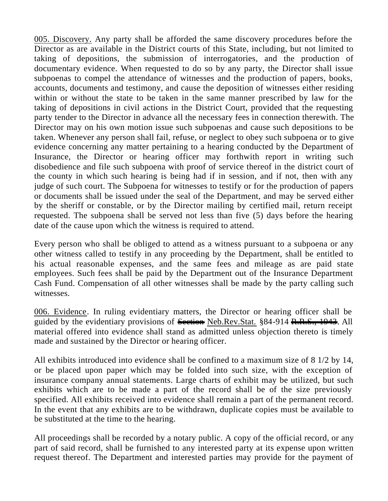005. Discovery. Any party shall be afforded the same discovery procedures before the Director as are available in the District courts of this State, including, but not limited to taking of depositions, the submission of interrogatories, and the production of documentary evidence. When requested to do so by any party, the Director shall issue subpoenas to compel the attendance of witnesses and the production of papers, books, accounts, documents and testimony, and cause the deposition of witnesses either residing within or without the state to be taken in the same manner prescribed by law for the taking of depositions in civil actions in the District Court, provided that the requesting party tender to the Director in advance all the necessary fees in connection therewith. The Director may on his own motion issue such subpoenas and cause such depositions to be taken. Whenever any person shall fail, refuse, or neglect to obey such subpoena or to give evidence concerning any matter pertaining to a hearing conducted by the Department of Insurance, the Director or hearing officer may forthwith report in writing such disobedience and file such subpoena with proof of service thereof in the district court of the county in which such hearing is being had if in session, and if not, then with any judge of such court. The Subpoena for witnesses to testify or for the production of papers or documents shall be issued under the seal of the Department, and may be served either by the sheriff or constable, or by the Director mailing by certified mail, return receipt requested. The subpoena shall be served not less than five (5) days before the hearing date of the cause upon which the witness is required to attend.

Every person who shall be obliged to attend as a witness pursuant to a subpoena or any other witness called to testify in any proceeding by the Department, shall be entitled to his actual reasonable expenses, and the same fees and mileage as are paid state employees. Such fees shall be paid by the Department out of the Insurance Department Cash Fund. Compensation of all other witnesses shall be made by the party calling such witnesses.

006. Evidence. In ruling evidentiary matters, the Director or hearing officer shall be guided by the evidentiary provisions of Section Neb.Rev.Stat. §84-914 R.R.S., 1943. All material offered into evidence shall stand as admitted unless objection thereto is timely made and sustained by the Director or hearing officer.

All exhibits introduced into evidence shall be confined to a maximum size of 8 1/2 by 14, or be placed upon paper which may be folded into such size, with the exception of insurance company annual statements. Large charts of exhibit may be utilized, but such exhibits which are to be made a part of the record shall be of the size previously specified. All exhibits received into evidence shall remain a part of the permanent record. In the event that any exhibits are to be withdrawn, duplicate copies must be available to be substituted at the time to the hearing.

All proceedings shall be recorded by a notary public. A copy of the official record, or any part of said record, shall be furnished to any interested party at its expense upon written request thereof. The Department and interested parties may provide for the payment of